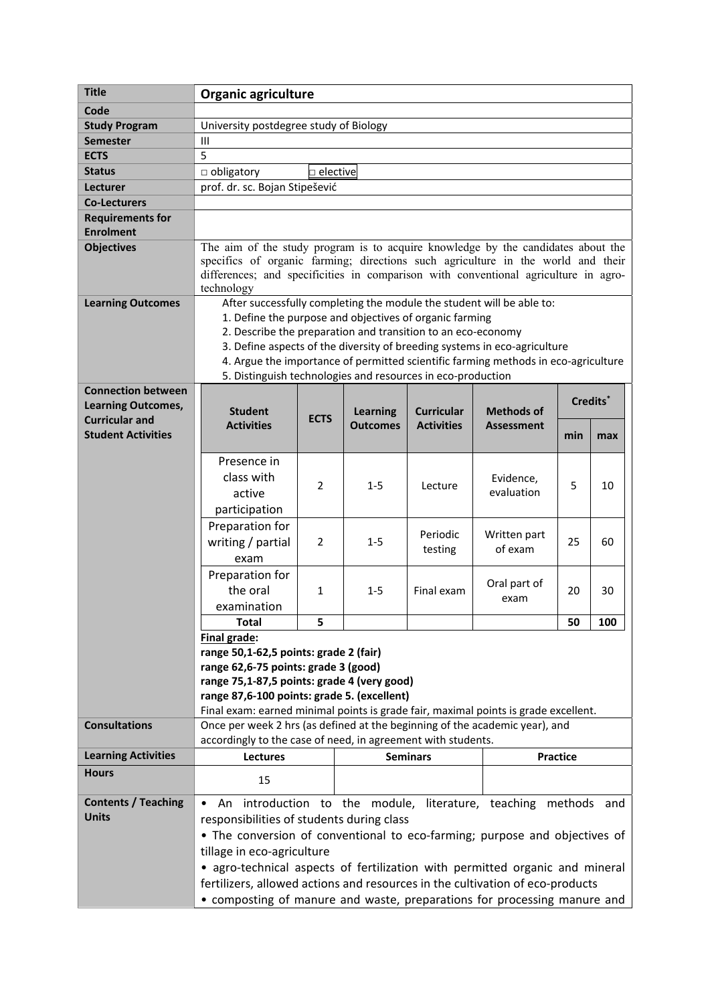| <b>Title</b>                                                                    | <b>Organic agriculture</b>                                                                                                                                                                                                                                                                                                                                                                                                         |              |                 |                     |                         |     |     |  |
|---------------------------------------------------------------------------------|------------------------------------------------------------------------------------------------------------------------------------------------------------------------------------------------------------------------------------------------------------------------------------------------------------------------------------------------------------------------------------------------------------------------------------|--------------|-----------------|---------------------|-------------------------|-----|-----|--|
| Code                                                                            |                                                                                                                                                                                                                                                                                                                                                                                                                                    |              |                 |                     |                         |     |     |  |
| <b>Study Program</b>                                                            | University postdegree study of Biology                                                                                                                                                                                                                                                                                                                                                                                             |              |                 |                     |                         |     |     |  |
| <b>Semester</b>                                                                 | Ш                                                                                                                                                                                                                                                                                                                                                                                                                                  |              |                 |                     |                         |     |     |  |
| <b>ECTS</b>                                                                     | 5                                                                                                                                                                                                                                                                                                                                                                                                                                  |              |                 |                     |                         |     |     |  |
| <b>Status</b>                                                                   | $\Box$ obligatory<br>$\square$ elective                                                                                                                                                                                                                                                                                                                                                                                            |              |                 |                     |                         |     |     |  |
| <b>Lecturer</b>                                                                 | prof. dr. sc. Bojan Stipešević                                                                                                                                                                                                                                                                                                                                                                                                     |              |                 |                     |                         |     |     |  |
| <b>Co-Lecturers</b>                                                             |                                                                                                                                                                                                                                                                                                                                                                                                                                    |              |                 |                     |                         |     |     |  |
| <b>Requirements for</b>                                                         |                                                                                                                                                                                                                                                                                                                                                                                                                                    |              |                 |                     |                         |     |     |  |
| <b>Enrolment</b>                                                                |                                                                                                                                                                                                                                                                                                                                                                                                                                    |              |                 |                     |                         |     |     |  |
| <b>Objectives</b>                                                               | The aim of the study program is to acquire knowledge by the candidates about the<br>specifics of organic farming; directions such agriculture in the world and their<br>differences; and specificities in comparison with conventional agriculture in agro-<br>technology                                                                                                                                                          |              |                 |                     |                         |     |     |  |
| <b>Learning Outcomes</b>                                                        | After successfully completing the module the student will be able to:<br>1. Define the purpose and objectives of organic farming<br>2. Describe the preparation and transition to an eco-economy<br>3. Define aspects of the diversity of breeding systems in eco-agriculture<br>4. Argue the importance of permitted scientific farming methods in eco-agriculture<br>5. Distinguish technologies and resources in eco-production |              |                 |                     |                         |     |     |  |
| <b>Connection between</b><br><b>Learning Outcomes,</b><br><b>Curricular and</b> | <b>Student</b><br><b>Curricular</b><br><b>Learning</b><br><b>ECTS</b>                                                                                                                                                                                                                                                                                                                                                              |              |                 | <b>Methods of</b>   | Credits*                |     |     |  |
| <b>Student Activities</b>                                                       | <b>Activities</b>                                                                                                                                                                                                                                                                                                                                                                                                                  |              | <b>Outcomes</b> | <b>Activities</b>   | <b>Assessment</b>       | min | max |  |
|                                                                                 | Presence in<br>class with<br>active<br>participation                                                                                                                                                                                                                                                                                                                                                                               | 2            | $1 - 5$         | Lecture             | Evidence,<br>evaluation | 5   | 10  |  |
|                                                                                 | Preparation for<br>writing / partial<br>exam                                                                                                                                                                                                                                                                                                                                                                                       | 2            | $1 - 5$         | Periodic<br>testing | Written part<br>of exam | 25  | 60  |  |
|                                                                                 | Preparation for<br>the oral<br>examination                                                                                                                                                                                                                                                                                                                                                                                         | $\mathbf{1}$ | $1 - 5$         | Final exam          | Oral part of<br>exam    | 20  | 30  |  |
|                                                                                 | Total                                                                                                                                                                                                                                                                                                                                                                                                                              | 5            |                 |                     |                         | 50  | 100 |  |
|                                                                                 | Final grade:<br>range 50,1-62,5 points: grade 2 (fair)<br>range 62,6-75 points: grade 3 (good)<br>range 75,1-87,5 points: grade 4 (very good)<br>range 87,6-100 points: grade 5. (excellent)<br>Final exam: earned minimal points is grade fair, maximal points is grade excellent.                                                                                                                                                |              |                 |                     |                         |     |     |  |
| <b>Consultations</b>                                                            | Once per week 2 hrs (as defined at the beginning of the academic year), and<br>accordingly to the case of need, in agreement with students.                                                                                                                                                                                                                                                                                        |              |                 |                     |                         |     |     |  |
| <b>Learning Activities</b>                                                      | Lectures                                                                                                                                                                                                                                                                                                                                                                                                                           |              | <b>Seminars</b> |                     | <b>Practice</b>         |     |     |  |
| <b>Hours</b>                                                                    | 15                                                                                                                                                                                                                                                                                                                                                                                                                                 |              |                 |                     |                         |     |     |  |
| <b>Contents / Teaching</b>                                                      | An introduction to the module, literature, teaching methods and<br>$\bullet$                                                                                                                                                                                                                                                                                                                                                       |              |                 |                     |                         |     |     |  |
| <b>Units</b>                                                                    | responsibilities of students during class<br>• The conversion of conventional to eco-farming; purpose and objectives of<br>tillage in eco-agriculture<br>• agro-technical aspects of fertilization with permitted organic and mineral                                                                                                                                                                                              |              |                 |                     |                         |     |     |  |
|                                                                                 | fertilizers, allowed actions and resources in the cultivation of eco-products<br>• composting of manure and waste, preparations for processing manure and                                                                                                                                                                                                                                                                          |              |                 |                     |                         |     |     |  |